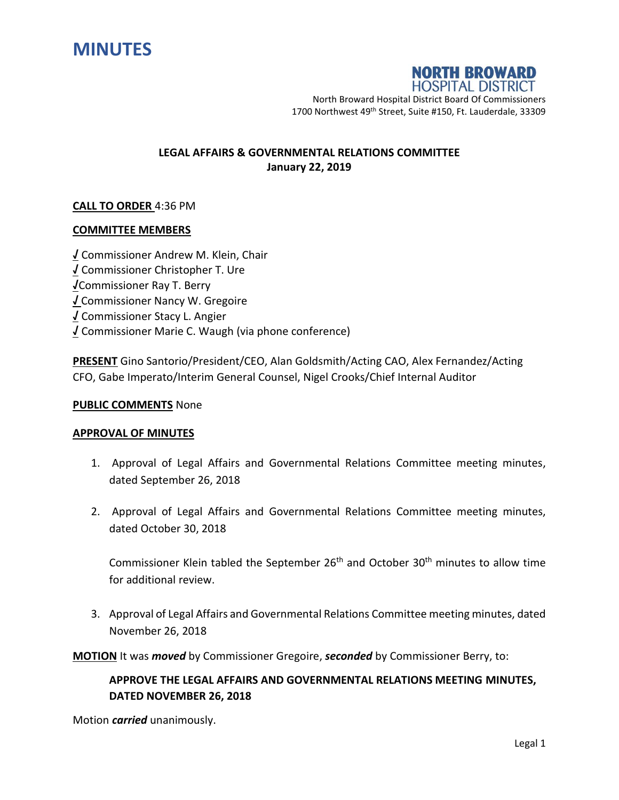



North Broward Hospital District Board Of Commissioners 1700 Northwest 49<sup>th</sup> Street, Suite #150, Ft. Lauderdale, 33309

## **LEGAL AFFAIRS & GOVERNMENTAL RELATIONS COMMITTEE January 22, 2019**

## **CALL TO ORDER** 4:36 PM

### **COMMITTEE MEMBERS**

**√** Commissioner Andrew M. Klein, Chair **√** Commissioner Christopher T. Ure **√**Commissioner Ray T. Berry **√** Commissioner Nancy W. Gregoire **√** Commissioner Stacy L. Angier **√** Commissioner Marie C. Waugh (via phone conference)

**PRESENT** Gino Santorio/President/CEO, Alan Goldsmith/Acting CAO, Alex Fernandez/Acting CFO, Gabe Imperato/Interim General Counsel, Nigel Crooks/Chief Internal Auditor

#### **PUBLIC COMMENTS** None

## **APPROVAL OF MINUTES**

- 1. Approval of Legal Affairs and Governmental Relations Committee meeting minutes, dated September 26, 2018
- 2. Approval of Legal Affairs and Governmental Relations Committee meeting minutes, dated October 30, 2018

Commissioner Klein tabled the September  $26<sup>th</sup>$  and October  $30<sup>th</sup>$  minutes to allow time for additional review.

3. Approval of Legal Affairs and Governmental Relations Committee meeting minutes, dated November 26, 2018

**MOTION** It was *moved* by Commissioner Gregoire, *seconded* by Commissioner Berry, to:

# **APPROVE THE LEGAL AFFAIRS AND GOVERNMENTAL RELATIONS MEETING MINUTES, DATED NOVEMBER 26, 2018**

Motion *carried* unanimously.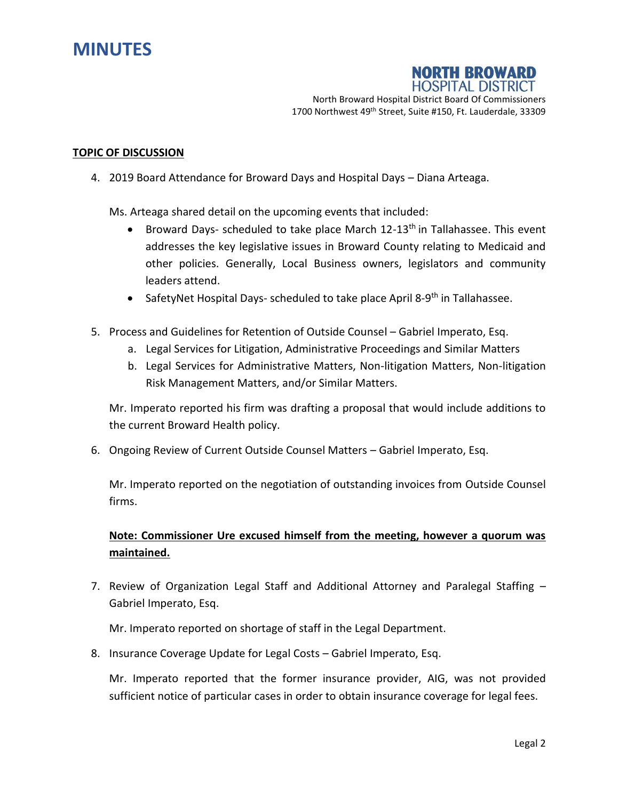



North Broward Hospital District Board Of Commissioners 1700 Northwest 49<sup>th</sup> Street, Suite #150, Ft. Lauderdale, 33309

#### **TOPIC OF DISCUSSION**

4. 2019 Board Attendance for Broward Days and Hospital Days – Diana Arteaga.

Ms. Arteaga shared detail on the upcoming events that included:

- **•** Broward Days- scheduled to take place March  $12-13$ <sup>th</sup> in Tallahassee. This event addresses the key legislative issues in Broward County relating to Medicaid and other policies. Generally, Local Business owners, legislators and community leaders attend.
- SafetyNet Hospital Days- scheduled to take place April 8-9<sup>th</sup> in Tallahassee.
- 5. Process and Guidelines for Retention of Outside Counsel Gabriel Imperato, Esq.
	- a. Legal Services for Litigation, Administrative Proceedings and Similar Matters
	- b. Legal Services for Administrative Matters, Non-litigation Matters, Non-litigation Risk Management Matters, and/or Similar Matters.

Mr. Imperato reported his firm was drafting a proposal that would include additions to the current Broward Health policy.

6. Ongoing Review of Current Outside Counsel Matters – Gabriel Imperato, Esq.

Mr. Imperato reported on the negotiation of outstanding invoices from Outside Counsel firms.

# **Note: Commissioner Ure excused himself from the meeting, however a quorum was maintained.**

7. Review of Organization Legal Staff and Additional Attorney and Paralegal Staffing – Gabriel Imperato, Esq.

Mr. Imperato reported on shortage of staff in the Legal Department.

8. Insurance Coverage Update for Legal Costs – Gabriel Imperato, Esq.

Mr. Imperato reported that the former insurance provider, AIG, was not provided sufficient notice of particular cases in order to obtain insurance coverage for legal fees.